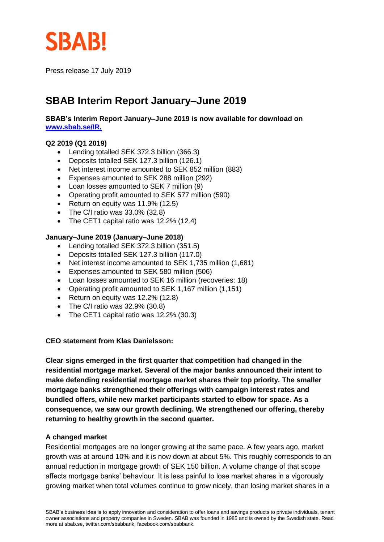

Press release 17 July 2019

# **SBAB Interim Report January–June 2019**

**SBAB's Interim Report January–June 2019 is now available for download on [www.sbab.se/IR.](https://www.sbab.se/1/in_english/investor_relations/sbab_group/financial_reports/sbab.html)**

### **Q2 2019 (Q1 2019)**

- Lending totalled SEK 372.3 billion (366.3)
- Deposits totalled SEK 127.3 billion (126.1)
- Net interest income amounted to SEK 852 million (883)
- Expenses amounted to SEK 288 million (292)
- Loan losses amounted to SEK 7 million (9)
- Operating profit amounted to SEK 577 million (590)
- Return on equity was 11.9% (12.5)
- The C/I ratio was  $33.0\%$  (32.8)
- The CET1 capital ratio was 12.2% (12.4)

### **January–June 2019 (January–June 2018)**

- Lending totalled SEK 372.3 billion (351.5)
- Deposits totalled SEK 127.3 billion (117.0)
- Net interest income amounted to SEK 1,735 million (1,681)
- Expenses amounted to SEK 580 million (506)
- Loan losses amounted to SEK 16 million (recoveries: 18)
- Operating profit amounted to SEK 1,167 million (1,151)
- Return on equity was 12.2% (12.8)
- The C/I ratio was 32.9% (30.8)
- The CET1 capital ratio was 12.2% (30.3)

### **CEO statement from Klas Danielsson:**

**Clear signs emerged in the first quarter that competition had changed in the residential mortgage market. Several of the major banks announced their intent to make defending residential mortgage market shares their top priority. The smaller mortgage banks strengthened their offerings with campaign interest rates and bundled offers, while new market participants started to elbow for space. As a consequence, we saw our growth declining. We strengthened our offering, thereby returning to healthy growth in the second quarter.**

### **A changed market**

Residential mortgages are no longer growing at the same pace. A few years ago, market growth was at around 10% and it is now down at about 5%. This roughly corresponds to an annual reduction in mortgage growth of SEK 150 billion. A volume change of that scope affects mortgage banks' behaviour. It is less painful to lose market shares in a vigorously growing market when total volumes continue to grow nicely, than losing market shares in a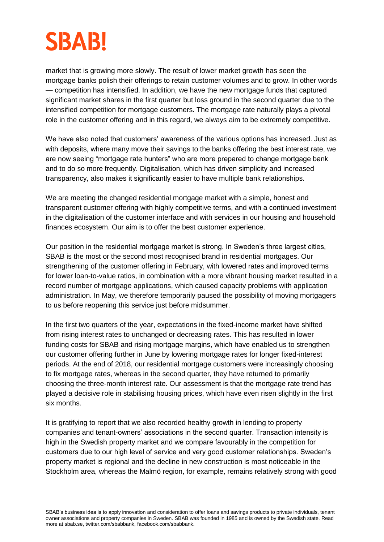# **SBAB!**

market that is growing more slowly. The result of lower market growth has seen the mortgage banks polish their offerings to retain customer volumes and to grow. In other words — competition has intensified. In addition, we have the new mortgage funds that captured significant market shares in the first quarter but loss ground in the second quarter due to the intensified competition for mortgage customers. The mortgage rate naturally plays a pivotal role in the customer offering and in this regard, we always aim to be extremely competitive.

We have also noted that customers' awareness of the various options has increased. Just as with deposits, where many move their savings to the banks offering the best interest rate, we are now seeing "mortgage rate hunters" who are more prepared to change mortgage bank and to do so more frequently. Digitalisation, which has driven simplicity and increased transparency, also makes it significantly easier to have multiple bank relationships.

We are meeting the changed residential mortgage market with a simple, honest and transparent customer offering with highly competitive terms, and with a continued investment in the digitalisation of the customer interface and with services in our housing and household finances ecosystem. Our aim is to offer the best customer experience.

Our position in the residential mortgage market is strong. In Sweden's three largest cities, SBAB is the most or the second most recognised brand in residential mortgages. Our strengthening of the customer offering in February, with lowered rates and improved terms for lower loan-to-value ratios, in combination with a more vibrant housing market resulted in a record number of mortgage applications, which caused capacity problems with application administration. In May, we therefore temporarily paused the possibility of moving mortgagers to us before reopening this service just before midsummer.

In the first two quarters of the year, expectations in the fixed-income market have shifted from rising interest rates to unchanged or decreasing rates. This has resulted in lower funding costs for SBAB and rising mortgage margins, which have enabled us to strengthen our customer offering further in June by lowering mortgage rates for longer fixed-interest periods. At the end of 2018, our residential mortgage customers were increasingly choosing to fix mortgage rates, whereas in the second quarter, they have returned to primarily choosing the three-month interest rate. Our assessment is that the mortgage rate trend has played a decisive role in stabilising housing prices, which have even risen slightly in the first six months.

It is gratifying to report that we also recorded healthy growth in lending to property companies and tenant-owners' associations in the second quarter. Transaction intensity is high in the Swedish property market and we compare favourably in the competition for customers due to our high level of service and very good customer relationships. Sweden's property market is regional and the decline in new construction is most noticeable in the Stockholm area, whereas the Malmö region, for example, remains relatively strong with good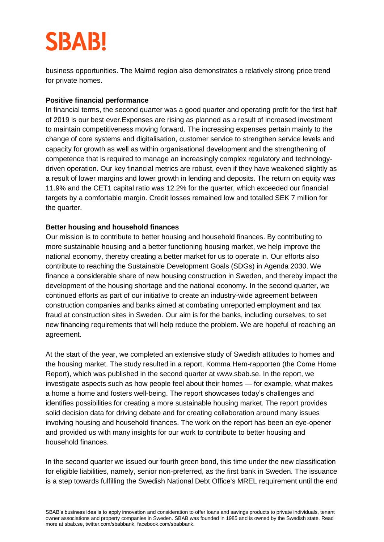# **SBAB!**

business opportunities. The Malmö region also demonstrates a relatively strong price trend for private homes.

# **Positive financial performance**

In financial terms, the second quarter was a good quarter and operating profit for the first half of 2019 is our best ever.Expenses are rising as planned as a result of increased investment to maintain competitiveness moving forward. The increasing expenses pertain mainly to the change of core systems and digitalisation, customer service to strengthen service levels and capacity for growth as well as within organisational development and the strengthening of competence that is required to manage an increasingly complex regulatory and technologydriven operation. Our key financial metrics are robust, even if they have weakened slightly as a result of lower margins and lower growth in lending and deposits. The return on equity was 11.9% and the CET1 capital ratio was 12.2% for the quarter, which exceeded our financial targets by a comfortable margin. Credit losses remained low and totalled SEK 7 million for the quarter.

## **Better housing and household finances**

Our mission is to contribute to better housing and household finances. By contributing to more sustainable housing and a better functioning housing market, we help improve the national economy, thereby creating a better market for us to operate in. Our efforts also contribute to reaching the Sustainable Development Goals (SDGs) in Agenda 2030. We finance a considerable share of new housing construction in Sweden, and thereby impact the development of the housing shortage and the national economy. In the second quarter, we continued efforts as part of our initiative to create an industry-wide agreement between construction companies and banks aimed at combating unreported employment and tax fraud at construction sites in Sweden. Our aim is for the banks, including ourselves, to set new financing requirements that will help reduce the problem. We are hopeful of reaching an agreement.

At the start of the year, we completed an extensive study of Swedish attitudes to homes and the housing market. The study resulted in a report, Komma Hem-rapporten (the Come Home Report), which was published in the second quarter at www.sbab.se. In the report, we investigate aspects such as how people feel about their homes — for example, what makes a home a home and fosters well-being. The report showcases today's challenges and identifies possibilities for creating a more sustainable housing market. The report provides solid decision data for driving debate and for creating collaboration around many issues involving housing and household finances. The work on the report has been an eye-opener and provided us with many insights for our work to contribute to better housing and household finances.

In the second quarter we issued our fourth green bond, this time under the new classification for eligible liabilities, namely, senior non-preferred, as the first bank in Sweden. The issuance is a step towards fulfilling the Swedish National Debt Office's MREL requirement until the end